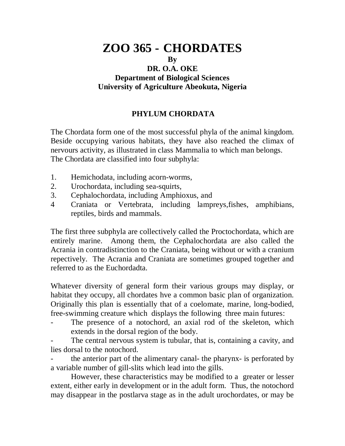# **ZOO 365 - CHORDATES By DR. O.A. OKE Department of Biological Sciences University of Agriculture Abeokuta, Nigeria**

## **PHYLUM CHORDATA**

The Chordata form one of the most successful phyla of the animal kingdom. Beside occupying various habitats, they have also reached the climax of nervours activity, as illustrated in class Mammalia to which man belongs. The Chordata are classified into four subphyla:

- 1. Hemichodata, including acorn-worms,
- 2. Urochordata, including sea-squirts,
- 3. Cephalochordata, including Amphioxus, and
- 4 Craniata or Vertebrata, including lampreys,fishes, amphibians, reptiles, birds and mammals.

The first three subphyla are collectively called the Proctochordata, which are entirely marine. Among them, the Cephalochordata are also called the Acrania in contradistinction to the Craniata, being without or with a cranium repectively. The Acrania and Craniata are sometimes grouped together and referred to as the Euchordadta.

Whatever diversity of general form their various groups may display, or habitat they occupy, all chordates hve a common basic plan of organization. Originally this plan is essentially that of a coelomate, marine, long-bodied, free-swimming creature which displays the following three main futures:

The presence of a notochord, an axial rod of the skeleton, which extends in the dorsal region of the body.

The central nervous system is tubular, that is, containing a cavity, and lies dorsal to the notochord.

the anterior part of the alimentary canal- the pharynx- is perforated by a variable number of gill-slits which lead into the gills.

However, these characteristics may be modified to a greater or lesser extent, either early in development or in the adult form. Thus, the notochord may disappear in the postlarva stage as in the adult urochordates, or may be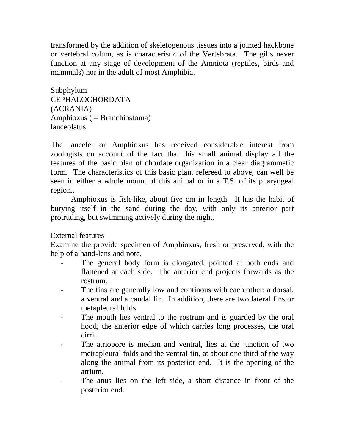transformed by the addition of skeletogenous tissues into a jointed hackbone or vertebral colum, as is characteristic of the Vertebrata. The gills never function at any stage of development of the Amniota (reptiles, birds and mammals) nor in the adult of most Amphibia.

Subphylum CEPHALOCHORDATA (ACRANIA) Amphioxus ( = Branchiostoma) lanceolatus

The lancelet or Amphioxus has received considerable interest from zoologists on account of the fact that this small animal display all the features of the basic plan of chordate organization in a clear diagrammatic form. The characteristics of this basic plan, refereed to above, can well be seen in either a whole mount of this animal or in a T.S. of its pharyngeal region..

Amphioxus is fish-like, about five cm in length. It has the habit of burying itself in the sand during the day, with only its anterior part protruding, but swimming actively during the night.

#### External features

Examine the provide specimen of Amphioxus, fresh or preserved, with the help of a hand-lens and note.

- The general body form is elongated, pointed at both ends and flattened at each side. The anterior end projects forwards as the rostrum.
- The fins are generally low and continous with each other: a dorsal, a ventral and a caudal fin. In addition, there are two lateral fins or metapleural folds.
- The mouth lies ventral to the rostrum and is guarded by the oral hood, the anterior edge of which carries long processes, the oral cirri.
- The atriopore is median and ventral, lies at the junction of two metrapleural folds and the ventral fin, at about one third of the way along the animal from its posterior end. It is the opening of the atrium.
- The anus lies on the left side, a short distance in front of the posterior end.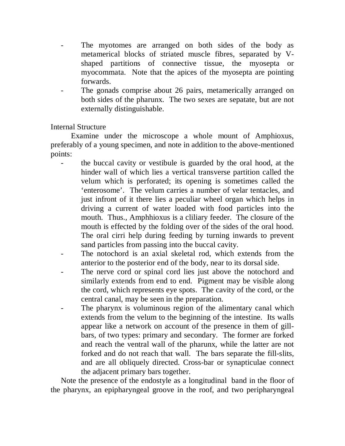- The myotomes are arranged on both sides of the body as metamerical blocks of striated muscle fibres, separated by Vshaped partitions of connective tissue, the myosepta or myocommata. Note that the apices of the myosepta are pointing forwards.
- The gonads comprise about 26 pairs, metamerically arranged on both sides of the pharunx. The two sexes are sepatate, but are not externally distinguishable.

Internal Structure

Examine under the microscope a whole mount of Amphioxus, preferably of a young specimen, and note in addition to the above-mentioned points:

- the buccal cavity or vestibule is guarded by the oral hood, at the hinder wall of which lies a vertical transverse partition called the velum which is perforated; its opening is sometimes called the 'enterosome'. The velum carries a number of velar tentacles, and just infront of it there lies a peculiar wheel organ which helps in driving a current of water loaded with food particles into the mouth. Thus., Amphhioxus is a cliliary feeder. The closure of the mouth is effected by the folding over of the sides of the oral hood. The oral cirri help during feeding by turning inwards to prevent sand particles from passing into the buccal cavity.
- The notochord is an axial skeletal rod, which extends from the anterior to the posterior end of the body, near to its dorsal side.
- The nerve cord or spinal cord lies just above the notochord and similarly extends from end to end. Pigment may be visible along the cord, which represents eye spots. The cavity of the cord, or the central canal, may be seen in the preparation.
- The pharynx is voluminous region of the alimentary canal which extends from the velum to the beginning of the intestine. Its walls appear like a network on account of the presence in them of gillbars, of two types: primary and secondary. The former are forked and reach the ventral wall of the pharunx, while the latter are not forked and do not reach that wall. The bars separate the fill-slits, and are all obliquely directed. Cross-bar or synapticulae connect the adjacent primary bars together.

Note the presence of the endostyle as a longitudinal band in the floor of the pharynx, an epipharyngeal groove in the roof, and two peripharyngeal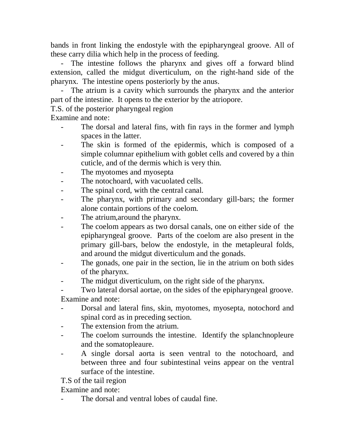bands in front linking the endostyle with the epipharyngeal groove. All of these carry dilia which help in the process of feeding.

- The intestine follows the pharynx and gives off a forward blind extension, called the midgut diverticulum, on the right-hand side of the pharynx. The intestine opens posteriorly by the anus.

- The atrium is a cavity which surrounds the pharynx and the anterior part of the intestine. It opens to the exterior by the atriopore.

T.S. of the posterior pharyngeal region

Examine and note:

- The dorsal and lateral fins, with fin rays in the former and lymph spaces in the latter.
- The skin is formed of the epidermis, which is composed of a simple columnar epithelium with goblet cells and covered by a thin cuticle, and of the dermis which is very thin.
- The myotomes and myosepta
- The notochoard, with vacuolated cells.
- The spinal cord, with the central canal.
- The pharynx, with primary and secondary gill-bars; the former alone contain portions of the coelom.
- The atrium,around the pharynx.
- The coelom appears as two dorsal canals, one on either side of the epipharyngeal groove. Parts of the coelom are also present in the primary gill-bars, below the endostyle, in the metapleural folds, and around the midgut diverticulum and the gonads.
- The gonads, one pair in the section, lie in the atrium on both sides of the pharynx.
- The midgut diverticulum, on the right side of the pharynx.

Two lateral dorsal aortae, on the sides of the epipharyngeal groove. Examine and note:

- Dorsal and lateral fins, skin, myotomes, myosepta, notochord and spinal cord as in preceding section.
- The extension from the atrium.
- The coelom surrounds the intestine. Identify the splanchnopleure and the somatopleaure.
- A single dorsal aorta is seen ventral to the notochoard, and between three and four subintestinal veins appear on the ventral surface of the intestine.

T.S of the tail region

Examine and note:

The dorsal and ventral lobes of caudal fine.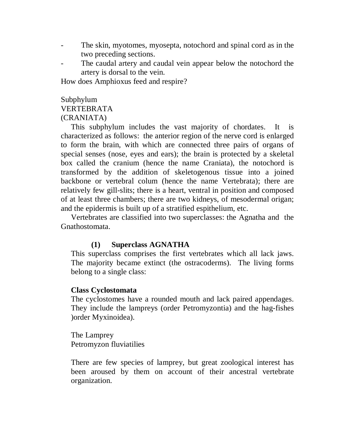- The skin, myotomes, myosepta, notochord and spinal cord as in the two preceding sections.
- The caudal artery and caudal vein appear below the notochord the artery is dorsal to the vein.

How does Amphioxus feed and respire?

#### Subphylum VERTEBRATA (CRANIATA)

This subphylum includes the vast majority of chordates. It is characterized as follows: the anterior region of the nerve cord is enlarged to form the brain, with which are connected three pairs of organs of special senses (nose, eyes and ears); the brain is protected by a skeletal box called the cranium (hence the name Craniata), the notochord is transformed by the addition of skeletogenous tissue into a joined backbone or vertebral colum (hence the name Vertebrata); there are relatively few gill-slits; there is a heart, ventral in position and composed of at least three chambers; there are two kidneys, of mesodermal origan; and the epidermis is built up of a stratified espithelium, etc.

Vertebrates are classified into two superclasses: the Agnatha and the Gnathostomata.

#### **(1) Superclass AGNATHA**

This superclass comprises the first vertebrates which all lack jaws. The majority became extinct (the ostracoderms). The living forms belong to a single class:

#### **Class Cyclostomata**

The cyclostomes have a rounded mouth and lack paired appendages. They include the lampreys (order Petromyzontia) and the hag-fishes )order Myxinoidea).

The Lamprey Petromyzon fluviatilies

There are few species of lamprey, but great zoological interest has been aroused by them on account of their ancestral vertebrate organization.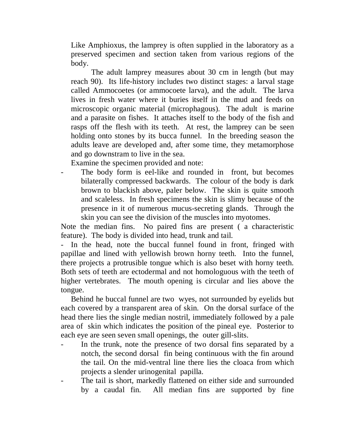Like Amphioxus, the lamprey is often supplied in the laboratory as a preserved specimen and section taken from various regions of the body.

The adult lamprey measures about 30 cm in length (but may reach 90). Its life-history includes two distinct stages: a larval stage called Ammocoetes (or ammocoete larva), and the adult. The larva lives in fresh water where it buries itself in the mud and feeds on microscopic organic material (microphagous). The adult is marine and a parasite on fishes. It attaches itself to the body of the fish and rasps off the flesh with its teeth. At rest, the lamprey can be seen holding onto stones by its bucca funnel. In the breeding season the adults leave are developed and, after some time, they metamorphose and go downstram to live in the sea.

Examine the specimen provided and note:

The body form is eel-like and rounded in front, but becomes bilaterally compressed backwards. The colour of the body is dark brown to blackish above, paler below. The skin is quite smooth and scaleless. In fresh specimens the skin is slimy because of the presence in it of numerous mucus-secreting glands. Through the skin you can see the division of the muscles into myotomes.

Note the median fins. No paired fins are present ( a characteristic feature). The body is divided into head, trunk and tail.

- In the head, note the buccal funnel found in front, fringed with papillae and lined with yellowish brown horny teeth. Into the funnel, there projects a protrusible tongue which is also beset with horny teeth. Both sets of teeth are ectodermal and not homologuous with the teeth of higher vertebrates. The mouth opening is circular and lies above the tongue.

Behind he buccal funnel are two wyes, not surrounded by eyelids but each covered by a transparent area of skin. On the dorsal surface of the head there lies the single median nostril, immediately followed by a pale area of skin which indicates the position of the pineal eye. Posterior to each eye are seen seven small openings, the outer gill-slits.

- In the trunk, note the presence of two dorsal fins separated by a notch, the second dorsal fin being continuous with the fin around the tail. On the mid-ventral line there lies the cloaca from which projects a slender urinogenital papilla.
- The tail is short, markedly flattened on either side and surrounded by a caudal fin. All median fins are supported by fine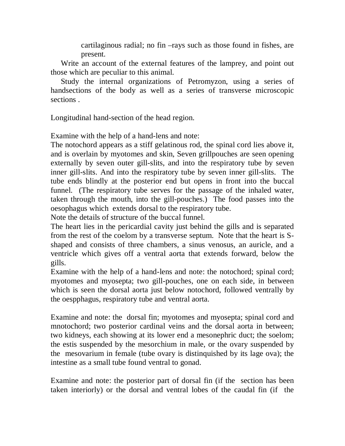cartilaginous radial; no fin –rays such as those found in fishes, are present.

Write an account of the external features of the lamprey, and point out those which are peculiar to this animal.

Study the internal organizations of Petromyzon, using a series of handsections of the body as well as a series of transverse microscopic sections .

Longitudinal hand-section of the head region.

Examine with the help of a hand-lens and note:

The notochord appears as a stiff gelatinous rod, the spinal cord lies above it, and is overlain by myotomes and skin, Seven grillpouches are seen opening externally by seven outer gill-slits, and into the respiratory tube by seven inner gill-slits. And into the respiratory tube by seven inner gill-slits. The tube ends blindly at the posterior end but opens in front into the buccal funnel. (The respiratory tube serves for the passage of the inhaled water, taken through the mouth, into the gill-pouches.) The food passes into the oesophagus which extends dorsal to the respiratory tube.

Note the details of structure of the buccal funnel.

The heart lies in the pericardial cavity just behind the gills and is separated from the rest of the coelom by a transverse septum. Note that the heart is Sshaped and consists of three chambers, a sinus venosus, an auricle, and a ventricle which gives off a ventral aorta that extends forward, below the gills.

Examine with the help of a hand-lens and note: the notochord; spinal cord; myotomes and myosepta; two gill-pouches, one on each side, in between which is seen the dorsal aorta just below notochord, followed ventrally by the oespphagus, respiratory tube and ventral aorta.

Examine and note: the dorsal fin; myotomes and myosepta; spinal cord and mnotochord; two posterior cardinal veins and the dorsal aorta in between; two kidneys, each showing at its lower end a mesonephric duct; the soelom; the estis suspended by the mesorchium in male, or the ovary suspended by the mesovarium in female (tube ovary is distinquished by its lage ova); the intestine as a small tube found ventral to gonad.

Examine and note: the posterior part of dorsal fin (if the section has been taken interiorly) or the dorsal and ventral lobes of the caudal fin (if the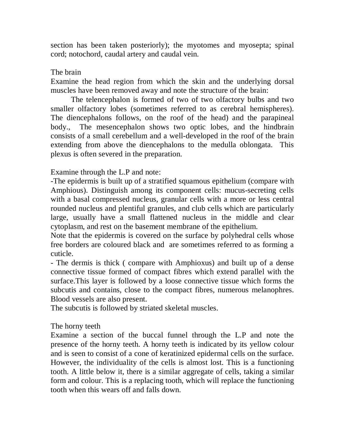section has been taken posteriorly); the myotomes and myosepta; spinal cord; notochord, caudal artery and caudal vein.

### The brain

Examine the head region from which the skin and the underlying dorsal muscles have been removed away and note the structure of the brain:

The telencephalon is formed of two of two olfactory bulbs and two smaller olfactory lobes (sometimes referred to as cerebral hemispheres). The diencephalons follows, on the roof of the head) and the parapineal body., The mesencephalon shows two optic lobes, and the hindbrain consists of a small cerebellum and a well-developed in the roof of the brain extending from above the diencephalons to the medulla oblongata. This plexus is often severed in the preparation.

Examine through the L.P and note:

-The epidermis is built up of a stratified squamous epithelium (compare with Amphious). Distinguish among its component cells: mucus-secreting cells with a basal compressed nucleus, granular cells with a more or less central rounded nucleus and plentiful granules, and club cells which are particularly large, usually have a small flattened nucleus in the middle and clear cytoplasm, and rest on the basement membrane of the epithelium.

Note that the epidermis is covered on the surface by polyhedral cells whose free borders are coloured black and are sometimes referred to as forming a cuticle.

- The dermis is thick ( compare with Amphioxus) and built up of a dense connective tissue formed of compact fibres which extend parallel with the surface.This layer is followed by a loose connective tissue which forms the subcutis and contains, close to the compact fibres, numerous melanophres. Blood vessels are also present.

The subcutis is followed by striated skeletal muscles.

### The horny teeth

Examine a section of the buccal funnel through the L.P and note the presence of the horny teeth. A horny teeth is indicated by its yellow colour and is seen to consist of a cone of keratinized epidermal cells on the surface. However, the individuality of the cells is almost lost. This is a functioning tooth. A little below it, there is a similar aggregate of cells, taking a similar form and colour. This is a replacing tooth, which will replace the functioning tooth when this wears off and falls down.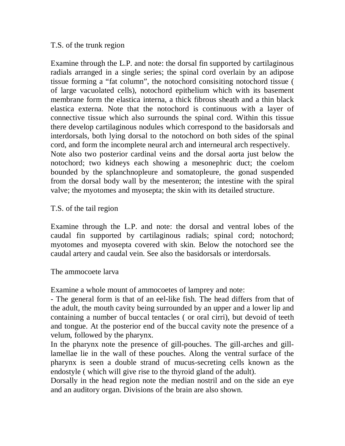#### T.S. of the trunk region

Examine through the L.P. and note: the dorsal fin supported by cartilaginous radials arranged in a single series; the spinal cord overlain by an adipose tissue forming a "fat column", the notochord consisiting notochord tissue ( of large vacuolated cells), notochord epithelium which with its basement membrane form the elastica interna, a thick fibrous sheath and a thin black elastica externa. Note that the notochord is continuous with a layer of connective tissue which also surrounds the spinal cord. Within this tissue there develop cartilaginous nodules which correspond to the basidorsals and interdorsals, both lying dorsal to the notochord on both sides of the spinal cord, and form the incomplete neural arch and interneural arch respectively. Note also two posterior cardinal veins and the dorsal aorta just below the notochord; two kidneys each showing a mesonephric duct; the coelom bounded by the splanchnopleure and somatopleure, the gonad suspended from the dorsal body wall by the mesenteron; the intestine with the spiral valve; the myotomes and myosepta; the skin with its detailed structure.

#### T.S. of the tail region

Examine through the L.P. and note: the dorsal and ventral lobes of the caudal fin supported by cartilaginous radials; spinal cord; notochord; myotomes and myosepta covered with skin. Below the notochord see the caudal artery and caudal vein. See also the basidorsals or interdorsals.

The ammocoete larva

Examine a whole mount of ammocoetes of lamprey and note:

- The general form is that of an eel-like fish. The head differs from that of the adult, the mouth cavity being surrounded by an upper and a lower lip and containing a number of buccal tentacles ( or oral cirri), but devoid of teeth and tongue. At the posterior end of the buccal cavity note the presence of a velum, followed by the pharynx.

In the pharynx note the presence of gill-pouches. The gill-arches and gilllamellae lie in the wall of these pouches. Along the ventral surface of the pharynx is seen a double strand of mucus-secreting cells known as the endostyle ( which will give rise to the thyroid gland of the adult).

Dorsally in the head region note the median nostril and on the side an eye and an auditory organ. Divisions of the brain are also shown.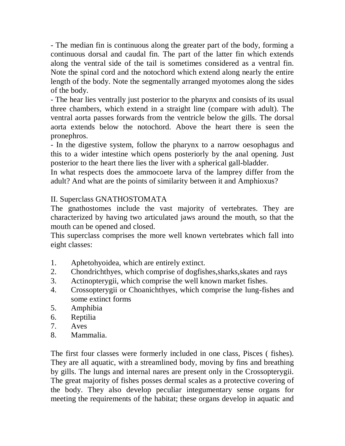- The median fin is continuous along the greater part of the body, forming a continuous dorsal and caudal fin. The part of the latter fin which extends along the ventral side of the tail is sometimes considered as a ventral fin. Note the spinal cord and the notochord which extend along nearly the entire length of the body. Note the segmentally arranged myotomes along the sides of the body.

- The hear lies ventrally just posterior to the pharynx and consists of its usual three chambers, which extend in a straight line (compare with adult). The ventral aorta passes forwards from the ventricle below the gills. The dorsal aorta extends below the notochord. Above the heart there is seen the pronephros.

- In the digestive system, follow the pharynx to a narrow oesophagus and this to a wider intestine which opens posteriorly by the anal opening. Just posterior to the heart there lies the liver with a spherical gall-bladder.

In what respects does the ammocoete larva of the lamprey differ from the adult? And what are the points of similarity between it and Amphioxus?

### II. Superclass GNATHOSTOMATA

The gnathostomes include the vast majority of vertebrates. They are characterized by having two articulated jaws around the mouth, so that the mouth can be opened and closed.

This superclass comprises the more well known vertebrates which fall into eight classes:

- 1. Aphetohyoidea, which are entirely extinct.
- 2. Chondrichthyes, which comprise of dogfishes,sharks,skates and rays
- 3. Actinopterygii, which comprise the well known market fishes.
- 4. Crossopterygii or Choanichthyes, which comprise the lung-fishes and some extinct forms
- 5. Amphibia
- 6. Reptilia
- 7. Aves
- 8. Mammalia.

The first four classes were formerly included in one class, Pisces ( fishes). They are all aquatic, with a streamlined body, moving by fins and breathing by gills. The lungs and internal nares are present only in the Crossopterygii. The great majority of fishes posses dermal scales as a protective covering of the body. They also develop peculiar integumentary sense organs for meeting the requirements of the habitat; these organs develop in aquatic and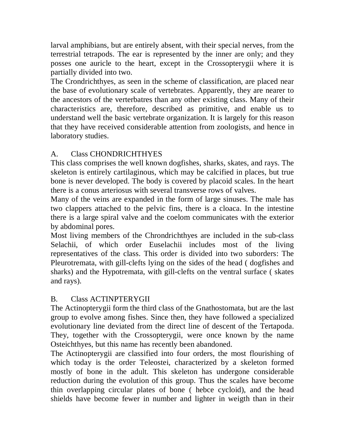larval amphibians, but are entirely absent, with their special nerves, from the terrestrial tetrapods. The ear is represented by the inner are only; and they posses one auricle to the heart, except in the Crossopterygii where it is partially divided into two.

The Crondrichthyes, as seen in the scheme of classification, are placed near the base of evolutionary scale of vertebrates. Apparently, they are nearer to the ancestors of the verterbatres than any other existing class. Many of their characteristics are, therefore, described as primitive, and enable us to understand well the basic vertebrate organization. It is largely for this reason that they have received considerable attention from zoologists, and hence in laboratory studies.

## A. Class CHONDRICHTHYES

This class comprises the well known dogfishes, sharks, skates, and rays. The skeleton is entirely cartilaginous, which may be calcified in places, but true bone is never developed. The body is covered by placoid scales. In the heart there is a conus arteriosus with several transverse rows of valves.

Many of the veins are expanded in the form of large sinuses. The male has two clappers attached to the pelvic fins, there is a cloaca. In the intestine there is a large spiral valve and the coelom communicates with the exterior by abdominal pores.

Most living members of the Chrondrichthyes are included in the sub-class Selachii, of which order Euselachii includes most of the living representatives of the class. This order is divided into two suborders: The Pleurotremata, with gill-clefts lying on the sides of the head ( dogfishes and sharks) and the Hypotremata, with gill-clefts on the ventral surface ( skates and rays).

## B. Class ACTINPTERYGII

The Actinopterygii form the third class of the Gnathostomata, but are the last group to evolve among fishes. Since then, they have followed a specialized evolutionary line deviated from the direct line of descent of the Tertapoda. They, together with the Crossopterygii, were once known by the name Osteichthyes, but this name has recently been abandoned.

The Actinopterygii are classified into four orders, the most flourishing of which today is the order Teleostei, characterized by a skeleton formed mostly of bone in the adult. This skeleton has undergone considerable reduction during the evolution of this group. Thus the scales have become thin overlapping circular plates of bone ( hebce cycloid), and the head shields have become fewer in number and lighter in weigth than in their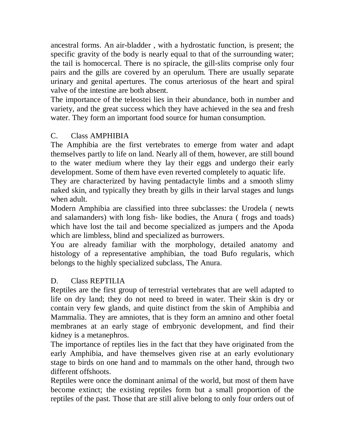ancestral forms. An air-bladder , with a hydrostatic function, is present; the specific gravity of the body is nearly equal to that of the surrounding water; the tail is homocercal. There is no spiracle, the gill-slits comprise only four pairs and the gills are covered by an operulum. There are usually separate urinary and genital apertures. The conus arteriosus of the heart and spiral valve of the intestine are both absent.

The importance of the teleostei lies in their abundance, both in number and variety, and the great success which they have achieved in the sea and fresh water. They form an important food source for human consumption.

### C. Class AMPHIBIA

The Amphibia are the first vertebrates to emerge from water and adapt themselves partly to life on land. Nearly all of them, however, are still bound to the water medium where they lay their eggs and undergo their early development. Some of them have even reverted completely to aquatic life.

They are characterized by having pentadactyle limbs and a smooth slimy naked skin, and typically they breath by gills in their larval stages and lungs when adult.

Modern Amphibia are classified into three subclasses: the Urodela ( newts and salamanders) with long fish- like bodies, the Anura ( frogs and toads) which have lost the tail and become specialized as jumpers and the Apoda which are limbless, blind and specialized as burrowers.

You are already familiar with the morphology, detailed anatomy and histology of a representative amphibian, the toad Bufo regularis, which belongs to the highly specialized subclass, The Anura.

### D. Class REPTILIA

Reptiles are the first group of terrestrial vertebrates that are well adapted to life on dry land; they do not need to breed in water. Their skin is dry or contain very few glands, and quite distinct from the skin of Amphibia and Mammalia. They are amniotes, that is they form an amnino and other foetal membranes at an early stage of embryonic development, and find their kidney is a metanephros.

The importance of reptiles lies in the fact that they have originated from the early Amphibia, and have themselves given rise at an early evolutionary stage to birds on one hand and to mammals on the other hand, through two different offshoots.

Reptiles were once the dominant animal of the world, but most of them have become extinct; the existing reptiles form but a small proportion of the reptiles of the past. Those that are still alive belong to only four orders out of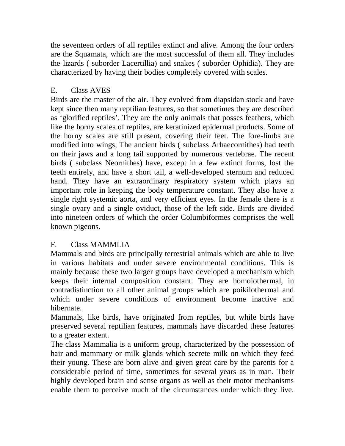the seventeen orders of all reptiles extinct and alive. Among the four orders are the Squamata, which are the most successful of them all. They includes the lizards ( suborder Lacertillia) and snakes ( suborder Ophidia). They are characterized by having their bodies completely covered with scales.

## E. Class AVES

Birds are the master of the air. They evolved from diapsidan stock and have kept since then many reptilian features, so that sometimes they are described as 'glorified reptiles'. They are the only animals that posses feathers, which like the horny scales of reptiles, are keratinized epidermal products. Some of the horny scales are still present, covering their feet. The fore-limbs are modified into wings, The ancient birds ( subclass Arhaecornithes) had teeth on their jaws and a long tail supported by numerous vertebrae. The recent birds ( subclass Neornithes) have, except in a few extinct forms, lost the teeth entirely, and have a short tail, a well-developed sternum and reduced hand. They have an extraordinary respiratory system which plays an important role in keeping the body temperature constant. They also have a single right systemic aorta, and very efficient eyes. In the female there is a single ovary and a single oviduct, those of the left side. Birds are divided into nineteen orders of which the order Columbiformes comprises the well known pigeons.

## F. Class MAMMLIA

Mammals and birds are principally terrestrial animals which are able to live in various habitats and under severe environmental conditions. This is mainly because these two larger groups have developed a mechanism which keeps their internal composition constant. They are homoiothermal, in contradistinction to all other animal groups which are poikilothermal and which under severe conditions of environment become inactive and hibernate.

Mammals, like birds, have originated from reptiles, but while birds have preserved several reptilian features, mammals have discarded these features to a greater extent.

The class Mammalia is a uniform group, characterized by the possession of hair and mammary or milk glands which secrete milk on which they feed their young. These are born alive and given great care by the parents for a considerable period of time, sometimes for several years as in man. Their highly developed brain and sense organs as well as their motor mechanisms enable them to perceive much of the circumstances under which they live.